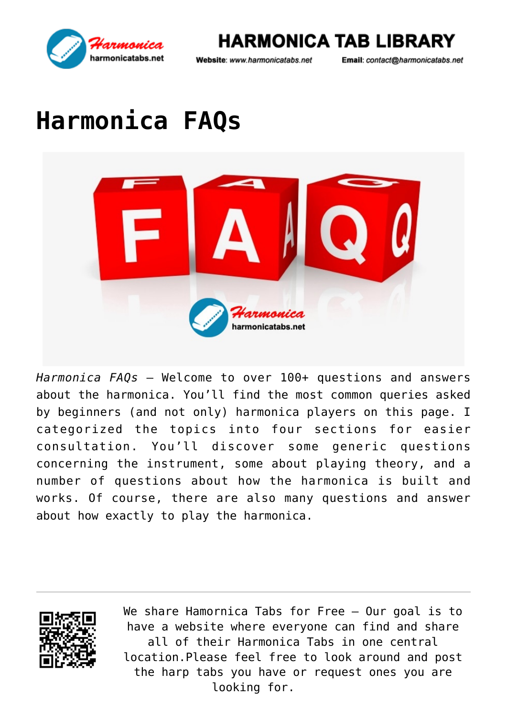

**HARMONICA TAB LIBRARY** 

Email: contact@harmonicatabs.net

# **[Harmonica FAQs](https://harmonicatabs.net/harmonica-faqs/)**



*Harmonica FAQs* – Welcome to over 100+ questions and answers about the [harmonica.](https://en.wikipedia.org/wiki/Harmonica) You'll find the most common queries asked by beginners (and not only) harmonica players on this page. I categorized the topics into four sections for easier consultation. You'll discover some generic questions concerning the instrument, some about playing theory, and a number of questions about how the harmonica is built and works. Of course, there are also many questions and answer about how exactly to play the harmonica.

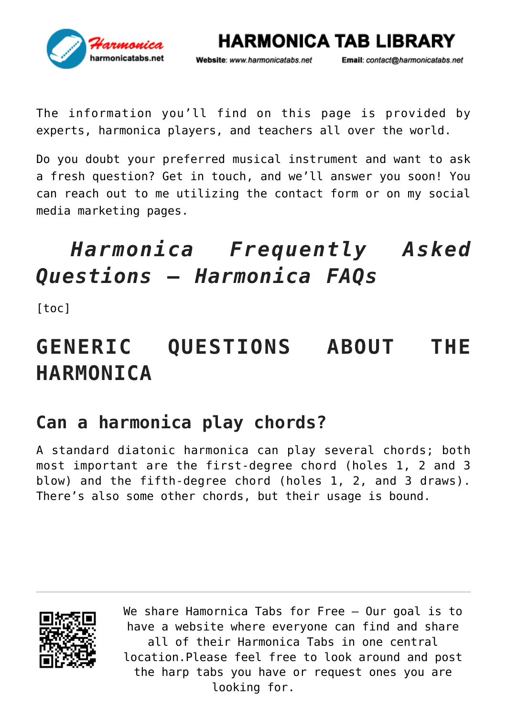

Email: contact@harmonicatabs.net

**HARMONICA TAB LIBRARY** 

The information you'll find on this page is provided by experts, harmonica players, and teachers all over the world.

Do you doubt your preferred musical instrument and want to ask a fresh question? Get in touch, and we'll answer you soon! You can reach out to me utilizing the contact form or on my social media marketing pages.

## *Harmonica Frequently Asked Questions* **–** *Harmonica FAQs*

[toc]

## **GENERIC QUESTIONS ABOUT THE HARMONICA**

## **Can a harmonica play chords?**

A standard diatonic harmonica can play several chords; both most important are the first-degree chord (holes 1, 2 and 3 blow) and the fifth-degree chord (holes 1, 2, and 3 draws). There's also some other chords, but their usage is bound.

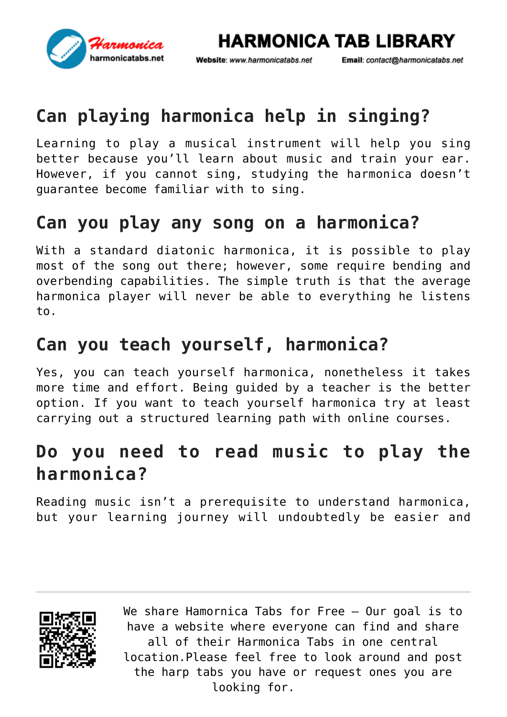

Email: contact@harmonicatabs.net

**HARMONICA TAB LIBRARY** 

## **Can playing harmonica help in singing?**

Learning to play a musical instrument will help you sing better because you'll learn about music and train your ear. However, if you cannot sing, studying the harmonica doesn't guarantee become familiar with to sing.

## **Can you play any song on a harmonica?**

With a standard diatonic harmonica, it is possible to play most of the song out there; however, some require bending and overbending capabilities. The simple truth is that the average harmonica player will never be able to everything he listens to.

## **Can you teach yourself, harmonica?**

Yes, you can teach yourself harmonica, nonetheless it takes more time and effort. Being guided by a teacher is the better option. If you want to teach yourself harmonica try at least carrying out a structured learning path with online courses.

## **Do you need to read music to play the harmonica?**

Reading music isn't a prerequisite to understand harmonica, but your learning journey will undoubtedly be easier and

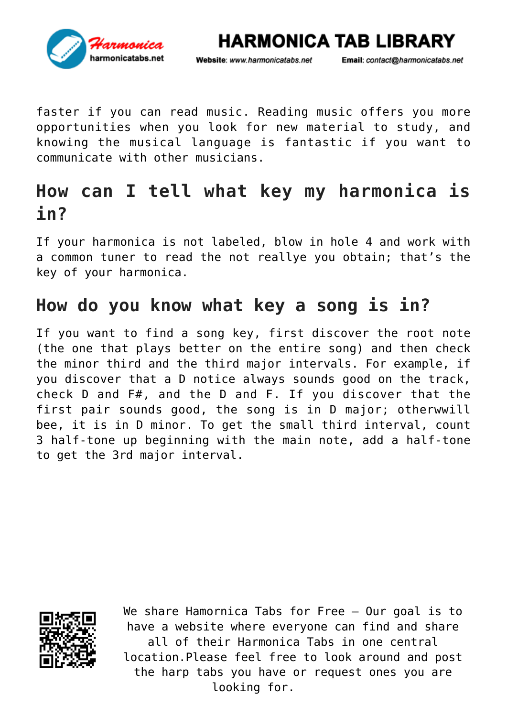

Email: contact@harmonicatabs.net

**HARMONICA TAB LIBRARY** 

faster if you can read music. Reading music offers you more opportunities when you look for new material to study, and knowing the musical language is fantastic if you want to communicate with other musicians.

## **How can I tell what key my harmonica is in?**

If your harmonica is not labeled, blow in hole 4 and work with a common tuner to read the not reallye you obtain; that's the key of your harmonica.

#### **How do you know what key a song is in?**

If you want to find a song key, first discover the root note (the one that plays better on the entire song) and then check the minor third and the third major intervals. For example, if you discover that a D notice always sounds good on the track, check D and F#, and the D and F. If you discover that the first pair sounds good, the song is in D major; otherwwill bee, it is in D minor. To get the small third interval, count 3 half-tone up beginning with the main note, add a half-tone to get the 3rd major interval.

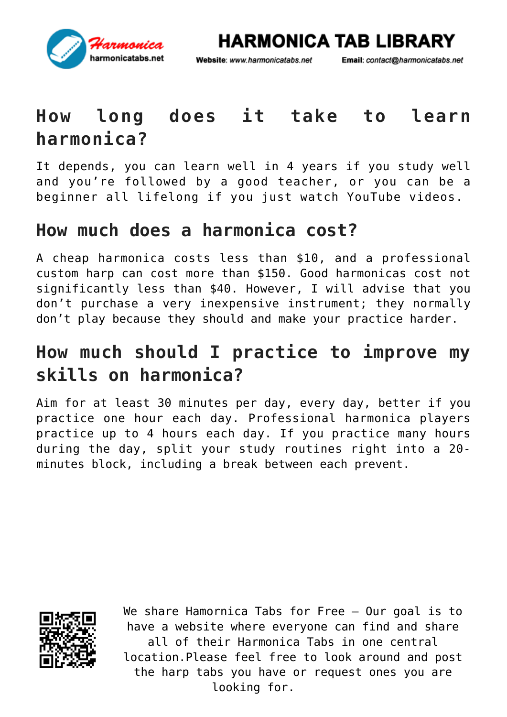

Website: www.harmonicatabs.net

Email: contact@harmonicatabs.net

## **How long does it take to learn harmonica?**

It depends, you can learn well in 4 years if you study well and you're followed by a good teacher, or you can be a beginner all lifelong if you just watch YouTube videos.

#### **How much does a harmonica cost?**

A cheap harmonica costs less than \$10, and a professional custom harp can cost more than \$150. Good harmonicas cost not significantly less than \$40. However, I will advise that you don't purchase a very inexpensive instrument; they normally don't play because they should and make your practice harder.

## **How much should I practice to improve my skills on harmonica?**

Aim for at least 30 minutes per day, every day, better if you practice one hour each day. Professional harmonica players practice up to 4 hours each day. If you practice many hours during the day, split your study routines right into a 20 minutes block, including a break between each prevent.

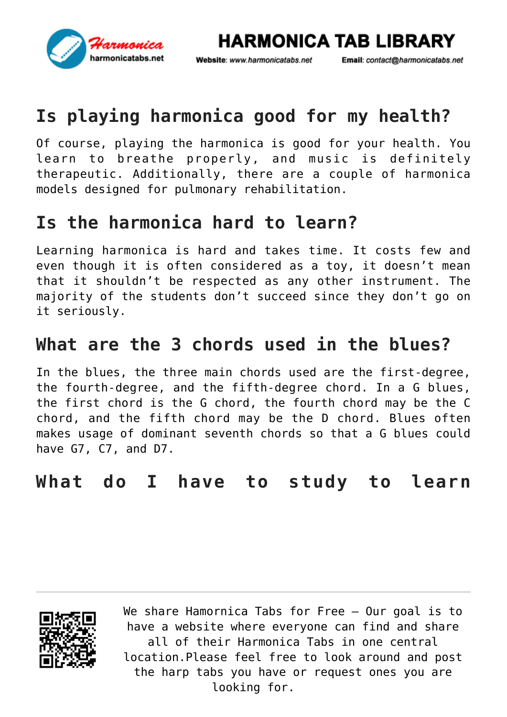

Email: contact@harmonicatabs.net

**HARMONICA TAB LIBRARY** 

## **Is playing harmonica good for my health?**

Of course, playing the harmonica is good for your health. You learn to breathe properly, and music is definitely therapeutic. Additionally, there are a couple of harmonica models designed for pulmonary rehabilitation.

## **Is the harmonica hard to learn?**

Learning harmonica is hard and takes time. It costs few and even though it is often considered as a toy, it doesn't mean that it shouldn't be respected as any other instrument. The majority of the students don't succeed since they don't go on it seriously.

## **What are the 3 chords used in the blues?**

In the blues, the three main chords used are the first-degree, the fourth-degree, and the fifth-degree chord. In a G blues, the first chord is the G chord, the fourth chord may be the C chord, and the fifth chord may be the D chord. Blues often makes usage of dominant seventh chords so that a G blues could have G7, C7, and D7.

#### **What do I have to study to learn**

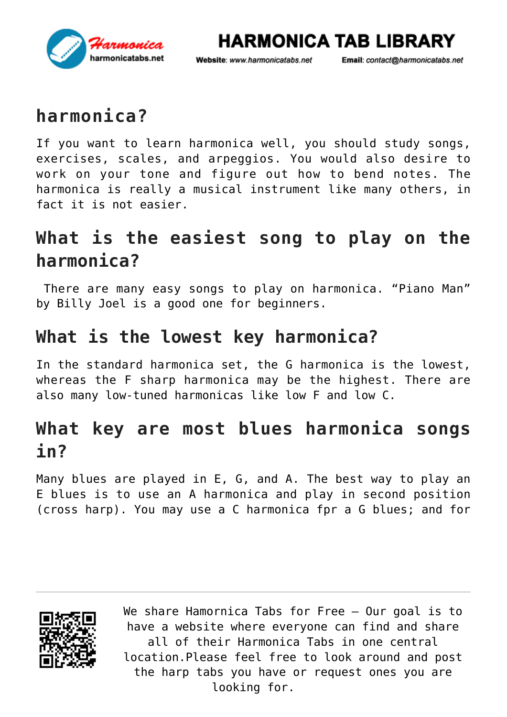

Email: contact@harmonicatabs.net

**HARMONICA TAB LIBRARY** 

## **harmonica?**

If you want to learn harmonica well, you should study songs, exercises, scales, and arpeggios. You would also desire to work on your tone and figure out how to bend notes. The harmonica is really a musical instrument like many others, in fact it is not easier.

## **What is the easiest song to play on the harmonica?**

There are many easy songs to play on harmonica. ["Piano Man"](https://harmonicatabs.net/?s=Piano+Man&post_type=lyrics) by Billy Joel is a good one for beginners.

#### **What is the lowest key harmonica?**

In the standard harmonica set, the G harmonica is the lowest, whereas the F sharp harmonica may be the highest. There are also many low-tuned harmonicas like low F and low C.

## **What key are most blues harmonica songs in?**

Many blues are played in E, G, and A. The best way to play an E blues is to use an A harmonica and play in second position (cross harp). You may use a C harmonica fpr a G blues; and for

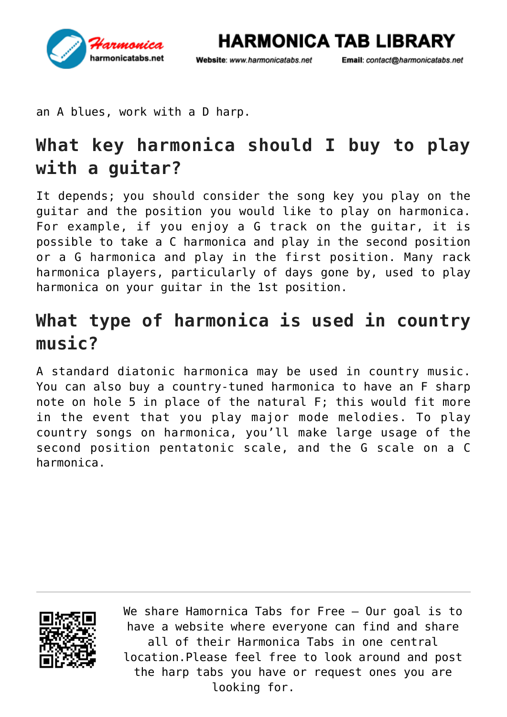

Email: contact@harmonicatabs.net

**HARMONICA TAB LIBRARY** 

an A blues, work with a D harp.

## **What key harmonica should I buy to play with a guitar?**

It depends; you should consider the song key you play on the guitar and the position you would like to play on harmonica. For example, if you enjoy a G track on the guitar, it is possible to take a C harmonica and play in the second position or a G harmonica and play in the first position. Many rack harmonica players, particularly of days gone by, used to play harmonica on your guitar in the 1st position.

## **What type of harmonica is used in country music?**

A standard diatonic harmonica may be used in country music. You can also buy a country-tuned harmonica to have an F sharp note on hole 5 in place of the natural F; this would fit more in the event that you play major mode melodies. To play country songs on harmonica, you'll make large usage of the second position pentatonic scale, and the G scale on a C harmonica.

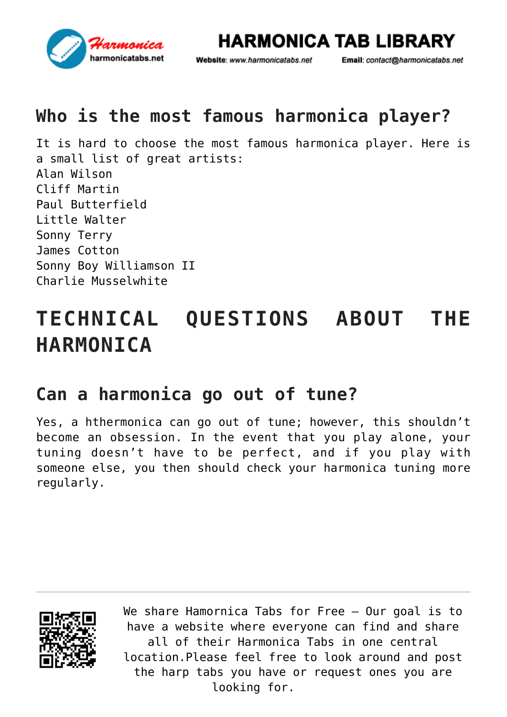

Website: www.harmonicatabs.net

Email: contact@harmonicatabs.net

## **Who is the most famous harmonica player?**

It is hard to choose the most famous harmonica player. Here is a small list of great artists: Alan Wilson Cliff Martin Paul Butterfield Little Walter Sonny Terry James Cotton Sonny Boy Williamson II Charlie Musselwhite

## **TECHNICAL QUESTIONS ABOUT THE HARMONICA**

#### **Can a harmonica go out of tune?**

Yes, a hthermonica can go out of tune; however, this shouldn't become an obsession. In the event that you play alone, your tuning doesn't have to be perfect, and if you play with someone else, you then should check your harmonica tuning more regularly.

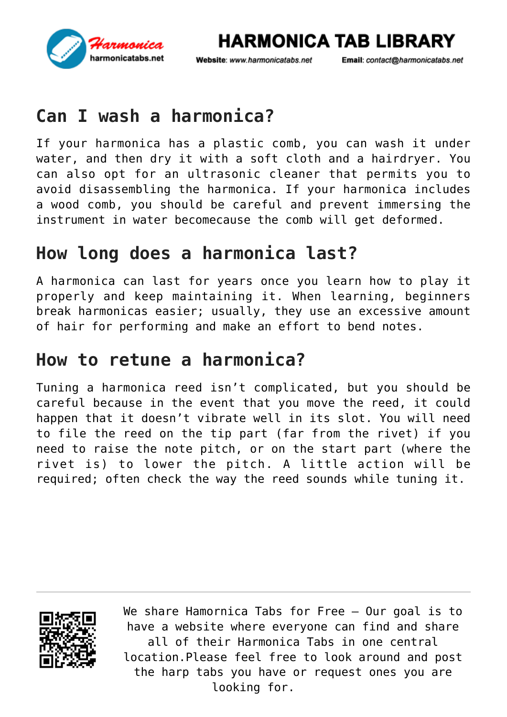

Website: www.harmonicatabs.net

Email: contact@harmonicatabs.net

## **Can I wash a harmonica?**

If your harmonica has a plastic comb, you can wash it under water, and then dry it with a soft cloth and a hairdryer. You can also opt for an ultrasonic cleaner that permits you to avoid disassembling the harmonica. If your harmonica includes a wood comb, you should be careful and prevent immersing the instrument in water becomecause the comb will get deformed.

## **How long does a harmonica last?**

A harmonica can last for years once you learn how to play it properly and keep maintaining it. When learning, beginners break harmonicas easier; usually, they use an excessive amount of hair for performing and make an effort to bend notes.

#### **How to retune a harmonica?**

Tuning a harmonica reed isn't complicated, but you should be careful because in the event that you move the reed, it could happen that it doesn't vibrate well in its slot. You will need to file the reed on the tip part (far from the rivet) if you need to raise the note pitch, or on the start part (where the rivet is) to lower the pitch. A little action will be required; often check the way the reed sounds while tuning it.

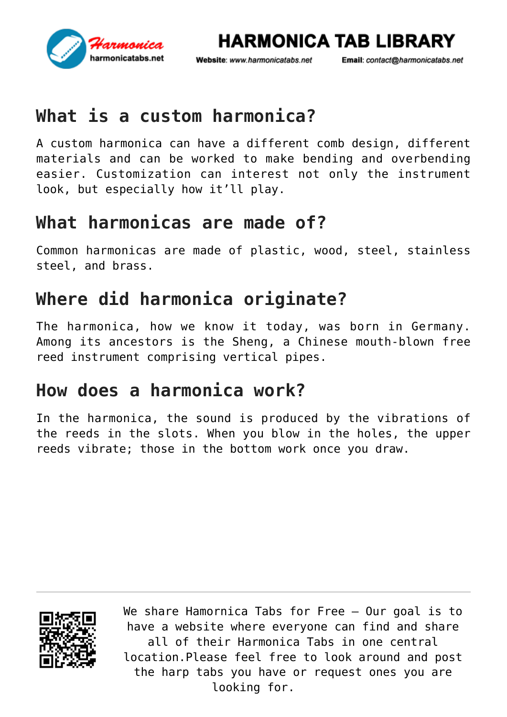

Website: www.harmonicatabs.net

Email: contact@harmonicatabs.net

## **What is a custom harmonica?**

A custom harmonica can have a different comb design, different materials and can be worked to make bending and overbending easier. Customization can interest not only the instrument look, but especially how it'll play.

#### **What harmonicas are made of?**

Common harmonicas are made of plastic, wood, steel, stainless steel, and brass.

## **Where did harmonica originate?**

The harmonica, how we know it today, was born in Germany. Among its ancestors is the Sheng, a Chinese mouth-blown free reed instrument comprising vertical pipes.

## **How does a harmonica work?**

In the harmonica, the sound is produced by the vibrations of the reeds in the slots. When you blow in the holes, the upper reeds vibrate; those in the bottom work once you draw.

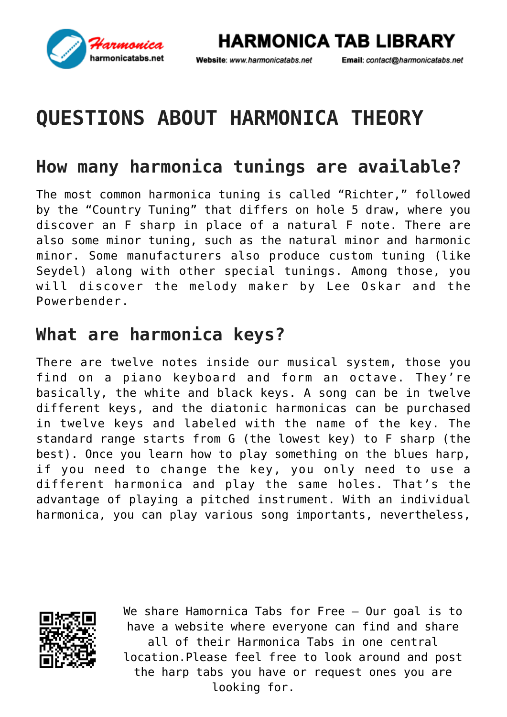

Website: www.harmonicatabs.net

Email: contact@harmonicatabs.net

## **QUESTIONS ABOUT HARMONICA THEORY**

## **How many harmonica tunings are available?**

The most common harmonica tuning is called "Richter," followed by the "Country Tuning" that differs on hole 5 draw, where you discover an F sharp in place of a natural F note. There are also some minor tuning, such as the natural minor and harmonic minor. Some manufacturers also produce custom tuning (like Seydel) along with other special tunings. Among those, you will discover the melody maker by Lee Oskar and the Powerbender.

#### **What are harmonica keys?**

There are twelve notes inside our musical system, those you find on a piano keyboard and form an octave. They're basically, the white and black keys. A song can be in twelve different keys, and the diatonic harmonicas can be purchased in twelve keys and labeled with the name of the key. The standard range starts from G (the lowest key) to F sharp (the best). Once you learn how to play something on the blues harp, if you need to change the key, you only need to use a different harmonica and play the same holes. That's the advantage of playing a pitched instrument. With an individual harmonica, you can play various song importants, nevertheless,

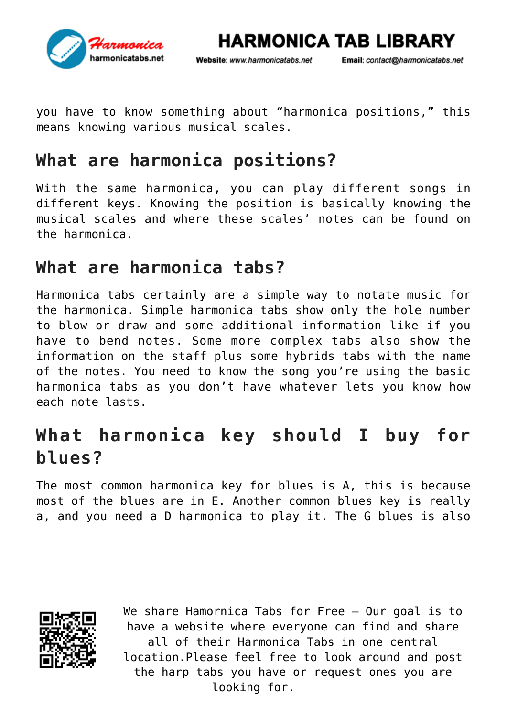

Email: contact@harmonicatabs.net

**HARMONICA TAB LIBRARY** 

you have to know something about "[harmonica positions](https://harmonicatabs.net/?p=12214)," this means knowing various musical scales.

## **What are harmonica positions?**

With the same harmonica, you can play different songs in different keys. Knowing the position is basically knowing the musical scales and where these scales' notes can be found on the harmonica.

#### **What are harmonica tabs?**

[Harmonica tabs](https://harmonicatabs.net/) certainly are a simple way to notate music for the harmonica. Simple harmonica tabs show only the hole number to blow or draw and some additional information like if you have to bend notes. Some more complex tabs also show the information on the staff plus some hybrids tabs with the name of the notes. You need to know the song you're using the basic harmonica tabs as you don't have whatever lets you know how each note lasts.

## **What harmonica key should I buy for blues?**

The most common harmonica key for blues is A, this is because most of the blues are in E. Another common blues key is really a, and you need a D harmonica to play it. The G blues is also

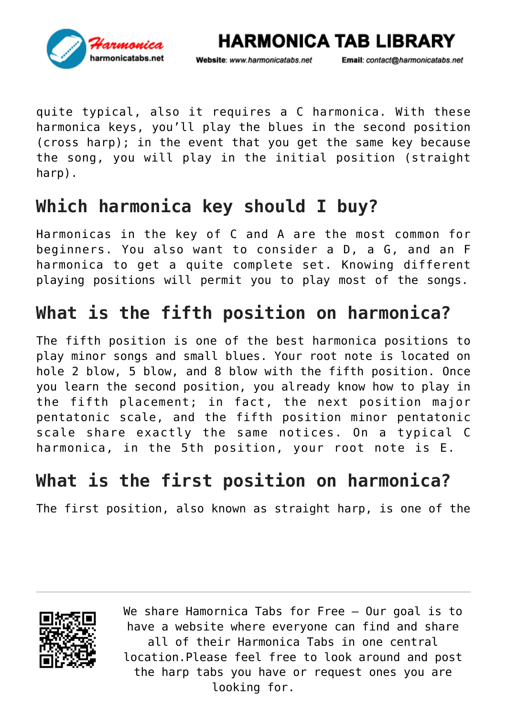

Website: www.harmonicatabs.net

Email: contact@harmonicatabs.net

quite typical, also it requires a C harmonica. With these harmonica keys, you'll play the blues in the second position (cross harp); in the event that you get the same key because the song, you will play in the initial position (straight harp).

#### **Which harmonica key should I buy?**

Harmonicas in the key of C and A are the most common for beginners. You also want to consider a D, a G, and an F harmonica to get a quite complete set. Knowing different playing positions will permit you to play most of the songs.

## **What is the fifth position on harmonica?**

The fifth position is one of the best harmonica positions to play minor songs and small blues. Your root note is located on hole 2 blow, 5 blow, and 8 blow with the fifth position. Once you learn the second position, you already know how to play in the fifth placement; in fact, the next position major pentatonic scale, and the fifth position minor pentatonic scale share exactly the same notices. On a typical C harmonica, in the 5th position, your root note is E.

#### **What is the first position on harmonica?**

The first position, also known as straight harp, is one of the

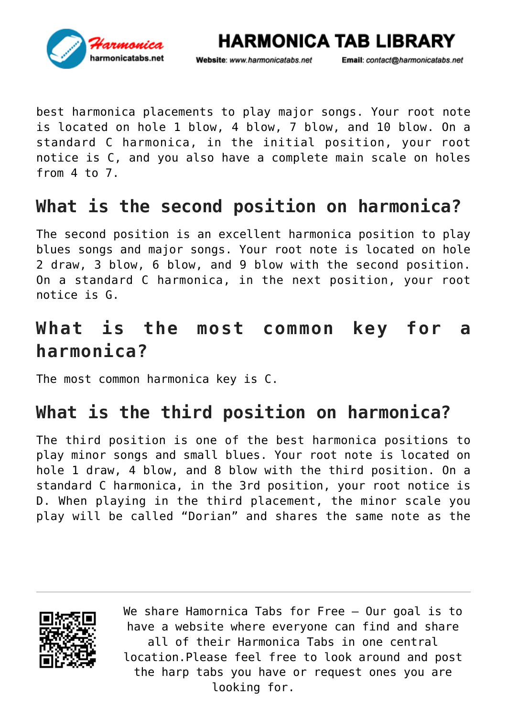

**HARMONICA TAB LIBRARY** 

Email: contact@harmonicatabs.net

best harmonica placements to play major songs. Your root note is located on hole 1 blow, 4 blow, 7 blow, and 10 blow. On a standard C harmonica, in the initial position, your root notice is C, and you also have a complete main scale on holes from 4 to 7.

## **What is the second position on harmonica?**

The second position is an excellent harmonica position to play blues songs and major songs. Your root note is located on hole 2 draw, 3 blow, 6 blow, and 9 blow with the second position. On a standard C harmonica, in the next position, your root notice is G.

## **What is the most common key for a harmonica?**

The most common harmonica key is C.

## **What is the third position on harmonica?**

The third position is one of the best harmonica positions to play minor songs and small blues. Your root note is located on hole 1 draw, 4 blow, and 8 blow with the third position. On a standard C harmonica, in the 3rd position, your root notice is D. When playing in the third placement, the minor scale you play will be called "Dorian" and shares the same note as the

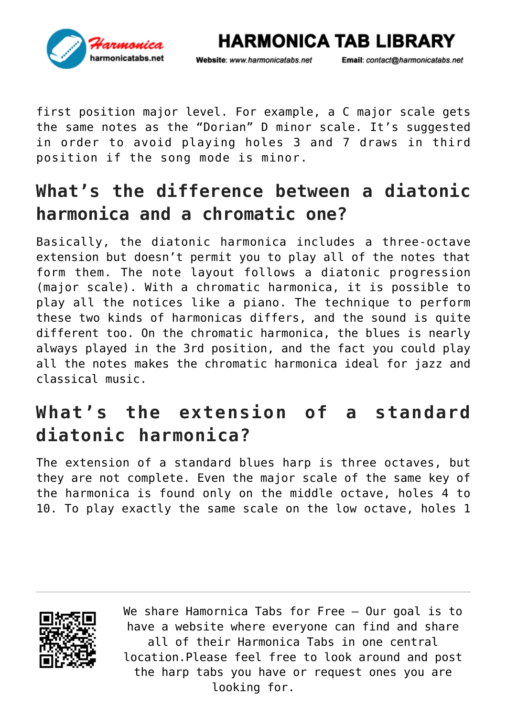

Website: www.harmonicatabs.net

Email: contact@harmonicatabs.net

first position major level. For example, a C major scale gets the same notes as the "Dorian" D minor scale. It's suggested in order to avoid playing holes 3 and 7 draws in third position if the song mode is minor.

## **What's the difference between a diatonic harmonica and a chromatic one?**

Basically, the diatonic harmonica includes a three-octave extension but doesn't permit you to play all of the notes that form them. The note layout follows a diatonic progression (major scale). With a chromatic harmonica, it is possible to play all the notices like a piano. The technique to perform these two kinds of harmonicas differs, and the sound is quite different too. On the chromatic harmonica, the blues is nearly always played in the 3rd position, and the fact you could play all the notes makes the chromatic harmonica ideal for jazz and classical music.

## **What's the extension of a standard diatonic harmonica?**

The extension of a standard blues harp is three octaves, but they are not complete. Even the major scale of the same key of the harmonica is found only on the middle octave, holes 4 to 10. To play exactly the same scale on the low octave, holes 1

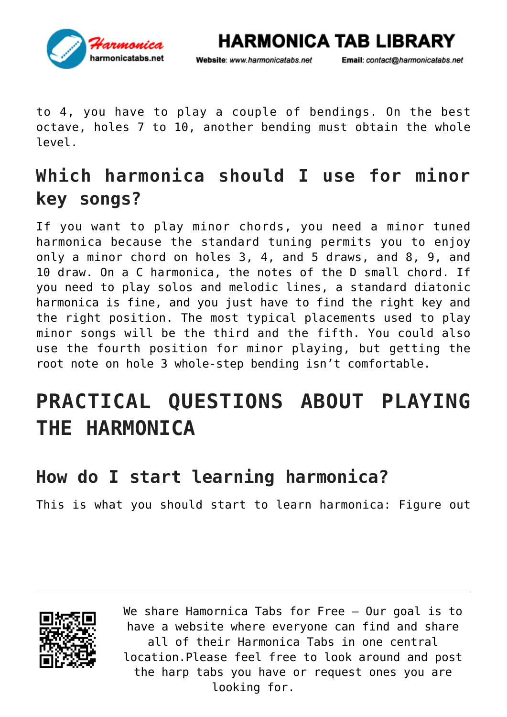

Website: www.harmonicatabs.net

Email: contact@harmonicatabs.net

to 4, you have to play a couple of bendings. On the best octave, holes 7 to 10, another bending must obtain the whole level.

## **Which harmonica should I use for minor key songs?**

If you want to play minor chords, you need a minor tuned harmonica because the standard tuning permits you to enjoy only a minor chord on holes 3, 4, and 5 draws, and 8, 9, and 10 draw. On a C harmonica, the notes of the D small chord. If you need to play solos and melodic lines, a standard diatonic harmonica is fine, and you just have to find the right key and the right position. The most typical placements used to play minor songs will be the third and the fifth. You could also use the fourth position for minor playing, but getting the root note on hole 3 whole-step bending isn't comfortable.

## **PRACTICAL QUESTIONS ABOUT PLAYING THE HARMONICA**

## **How do I start learning harmonica?**

This is what you should start to learn harmonica: Figure out

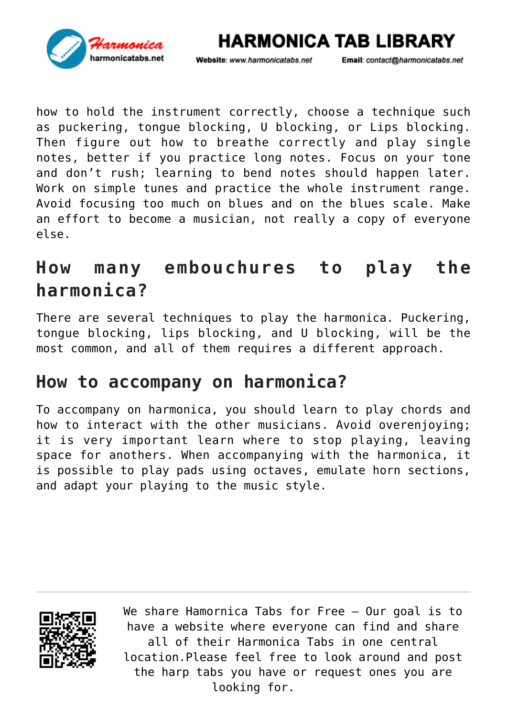

Email: contact@harmonicatabs.net

how to hold the instrument correctly, choose a technique such as puckering, tongue blocking, U blocking, or Lips blocking. Then figure out how to breathe correctly and play single notes, better if you practice long notes. Focus on your tone and don't rush; learning to bend notes should happen later. Work on simple tunes and practice the whole instrument range. Avoid focusing too much on blues and on the blues scale. Make an effort to become a musician, not really a copy of everyone else.

Website: www.harmonicatabs.net

## **How many embouchures to play the harmonica?**

There are several techniques to play the harmonica. Puckering, tongue blocking, lips blocking, and U blocking, will be the most common, and all of them requires a different approach.

## **How to accompany on harmonica?**

To accompany on harmonica, you should learn to play chords and how to interact with the other musicians. Avoid overenjoying; it is very important learn where to stop playing, leaving space for anothers. When accompanying with the harmonica, it is possible to play pads using octaves, emulate horn sections, and adapt your playing to the music style.

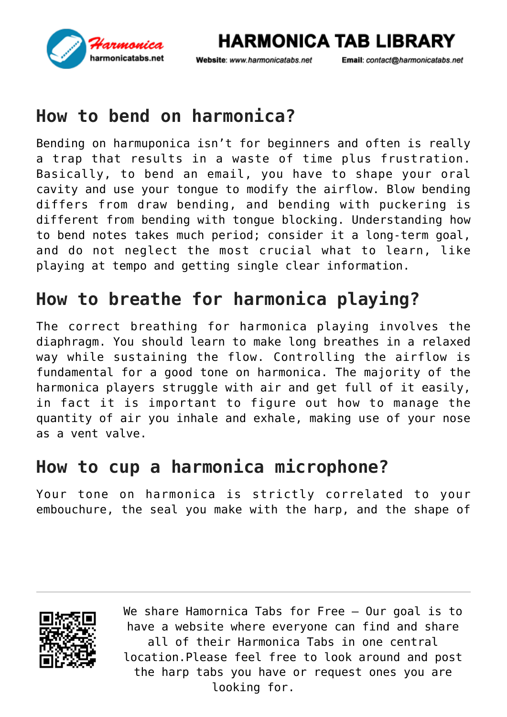

Website: www.harmonicatabs.net

Email: contact@harmonicatabs.net

## **How to bend on harmonica?**

Bending on harmuponica isn't for beginners and often is really a trap that results in a waste of time plus frustration. Basically, to bend an email, you have to shape your oral cavity and use your tongue to modify the airflow. Blow bending differs from draw bending, and bending with puckering is different from bending with tongue blocking. Understanding how to bend notes takes much period; consider it a long-term goal, and do not neglect the most crucial what to learn, like playing at tempo and getting single clear information.

## **How to breathe for harmonica playing?**

The correct breathing for harmonica playing involves the diaphragm. You should learn to make long breathes in a relaxed way while sustaining the flow. Controlling the airflow is fundamental for a good tone on harmonica. The majority of the harmonica players struggle with air and get full of it easily, in fact it is important to figure out how to manage the quantity of air you inhale and exhale, making use of your nose as a vent valve.

#### **How to cup a harmonica microphone?**

Your tone on harmonica is strictly correlated to your embouchure, the seal you make with the harp, and the shape of

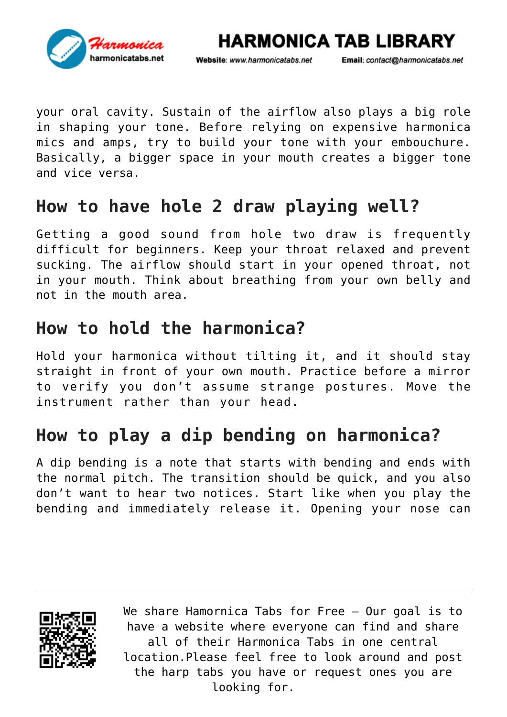

Website: www.harmonicatabs.net

Email: contact@harmonicatabs.net

your oral cavity. Sustain of the airflow also plays a big role in shaping your tone. Before relying on expensive harmonica mics and amps, try to build your tone with your embouchure. Basically, a bigger space in your mouth creates a bigger tone and vice versa.

## **How to have hole 2 draw playing well?**

Getting a good sound from hole two draw is frequently difficult for beginners. Keep your throat relaxed and prevent sucking. The airflow should start in your opened throat, not in your mouth. Think about breathing from your own belly and not in the mouth area.

#### **How to hold the harmonica?**

Hold your harmonica without tilting it, and it should stay straight in front of your own mouth. Practice before a mirror to verify you don't assume strange postures. Move the instrument rather than your head.

## **How to play a dip bending on harmonica?**

A dip bending is a note that starts with bending and ends with the normal pitch. The transition should be quick, and you also don't want to hear two notices. Start like when you play the bending and immediately release it. Opening your nose can

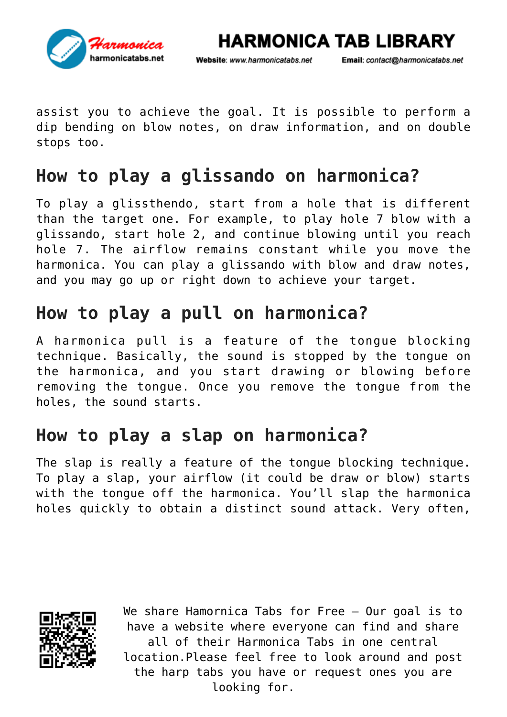

Website: www.harmonicatabs.net

Email: contact@harmonicatabs.net

assist you to achieve the goal. It is possible to perform a dip bending on blow notes, on draw information, and on double stops too.

## **How to play a glissando on harmonica?**

To play a glissthendo, start from a hole that is different than the target one. For example, to play hole 7 blow with a glissando, start hole 2, and continue blowing until you reach hole 7. The airflow remains constant while you move the harmonica. You can play a glissando with blow and draw notes, and you may go up or right down to achieve your target.

#### **How to play a pull on harmonica?**

A harmonica pull is a feature of the tongue blocking technique. Basically, the sound is stopped by the tongue on the harmonica, and you start drawing or blowing before removing the tongue. Once you remove the tongue from the holes, the sound starts.

## **How to play a slap on harmonica?**

The slap is really a feature of the tongue blocking technique. To play a slap, your airflow (it could be draw or blow) starts with the tongue off the harmonica. You'll slap the harmonica holes quickly to obtain a distinct sound attack. Very often,

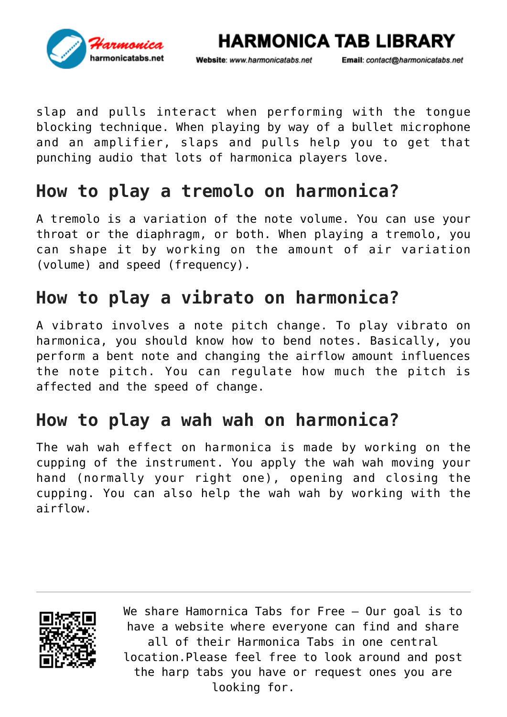

Email: contact@harmonicatabs.net

**HARMONICA TAB LIBRARY** 

slap and pulls interact when performing with the tongue blocking technique. When playing by way of a bullet microphone and an amplifier, slaps and pulls help you to get that punching audio that lots of harmonica players love.

#### **How to play a tremolo on harmonica?**

A tremolo is a variation of the note volume. You can use your throat or the diaphragm, or both. When playing a tremolo, you can shape it by working on the amount of air variation (volume) and speed (frequency).

## **How to play a vibrato on harmonica?**

A vibrato involves a note pitch change. To play vibrato on harmonica, you should know how to bend notes. Basically, you perform a bent note and changing the airflow amount influences the note pitch. You can regulate how much the pitch is affected and the speed of change.

## **How to play a wah wah on harmonica?**

The wah wah effect on harmonica is made by working on the cupping of the instrument. You apply the wah wah moving your hand (normally your right one), opening and closing the cupping. You can also help the wah wah by working with the airflow.

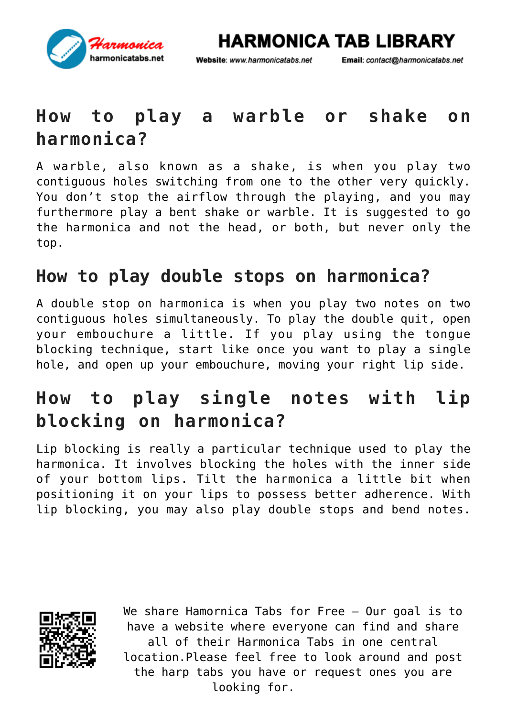

Website: www.harmonicatabs.net

Email: contact@harmonicatabs.net

## **How to play a warble or shake on harmonica?**

A warble, also known as a shake, is when you play two contiguous holes switching from one to the other very quickly. You don't stop the airflow through the playing, and you may furthermore play a bent shake or warble. It is suggested to go the harmonica and not the head, or both, but never only the top.

#### **How to play double stops on harmonica?**

A double stop on harmonica is when you play two notes on two contiguous holes simultaneously. To play the double quit, open your embouchure a little. If you play using the tongue blocking technique, start like once you want to play a single hole, and open up your embouchure, moving your right lip side.

## **How to play single notes with lip blocking on harmonica?**

Lip blocking is really a particular technique used to play the harmonica. It involves blocking the holes with the inner side of your bottom lips. Tilt the harmonica a little bit when positioning it on your lips to possess better adherence. With lip blocking, you may also play double stops and bend notes.

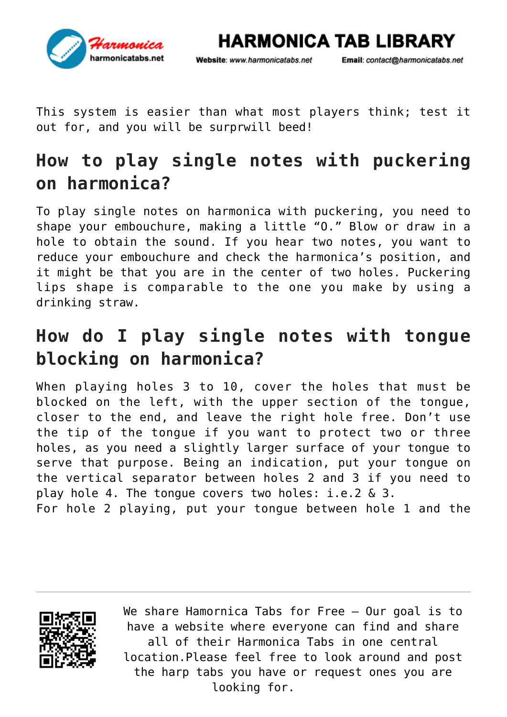

Website: www.harmonicatabs.net

Email: contact@harmonicatabs.net

This system is easier than what most players think; test it out for, and you will be surprwill beed!

## **How to play single notes with puckering on harmonica?**

To play single notes on harmonica with puckering, you need to shape your embouchure, making a little "O." Blow or draw in a hole to obtain the sound. If you hear two notes, you want to reduce your embouchure and check the harmonica's position, and it might be that you are in the center of two holes. Puckering lips shape is comparable to the one you make by using a drinking straw.

## **How do I play single notes with tongue blocking on harmonica?**

When playing holes 3 to 10, cover the holes that must be blocked on the left, with the upper section of the tongue, closer to the end, and leave the right hole free. Don't use the tip of the tongue if you want to protect two or three holes, as you need a slightly larger surface of your tongue to serve that purpose. Being an indication, put your tongue on the vertical separator between holes 2 and 3 if you need to play hole 4. The tongue covers two holes: i.e.2 & 3.

For hole 2 playing, put your tongue between hole 1 and the

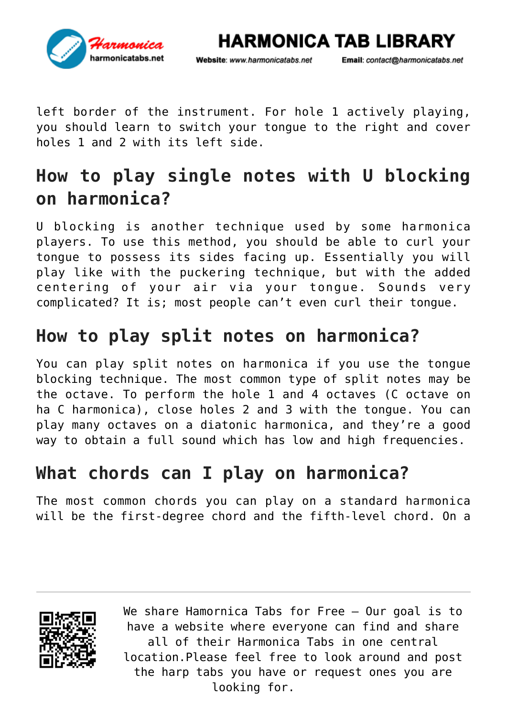

Email: contact@harmonicatabs.net

**HARMONICA TAB LIBRARY** 

left border of the instrument. For hole 1 actively playing, you should learn to switch your tongue to the right and cover holes 1 and 2 with its left side.

## **How to play single notes with U blocking on harmonica?**

U blocking is another technique used by some harmonica players. To use this method, you should be able to curl your tongue to possess its sides facing up. Essentially you will play like with the puckering technique, but with the added centering of your air via your tongue. Sounds very complicated? It is; most people can't even curl their tongue.

## **How to play split notes on harmonica?**

You can play split notes on harmonica if you use the tongue blocking technique. The most common type of split notes may be the octave. To perform the hole 1 and 4 octaves (C octave on ha C harmonica), close holes 2 and 3 with the tongue. You can play many octaves on a diatonic harmonica, and they're a good way to obtain a full sound which has low and high frequencies.

## **What chords can I play on harmonica?**

The most common chords you can play on a standard harmonica will be the first-degree chord and the fifth-level chord. On a

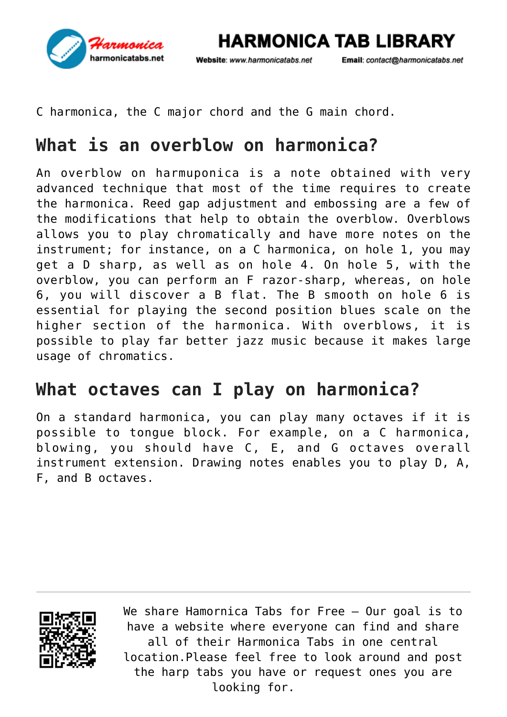

Email: contact@harmonicatabs.net

**HARMONICA TAB LIBRARY** 

C harmonica, the C major chord and the G main chord.

## **What is an overblow on harmonica?**

An overblow on harmuponica is a note obtained with very advanced technique that most of the time requires to create the harmonica. Reed gap adjustment and embossing are a few of the modifications that help to obtain the overblow. Overblows allows you to play chromatically and have more notes on the instrument; for instance, on a C harmonica, on hole 1, you may get a D sharp, as well as on hole 4. On hole 5, with the overblow, you can perform an F razor-sharp, whereas, on hole 6, you will discover a B flat. The B smooth on hole 6 is essential for playing the second position blues scale on the higher section of the harmonica. With overblows, it is possible to play far better jazz music because it makes large usage of chromatics.

#### **What octaves can I play on harmonica?**

On a standard harmonica, you can play many octaves if it is possible to tongue block. For example, on a C harmonica, blowing, you should have C, E, and G octaves overall instrument extension. Drawing notes enables you to play D, A, F, and B octaves.